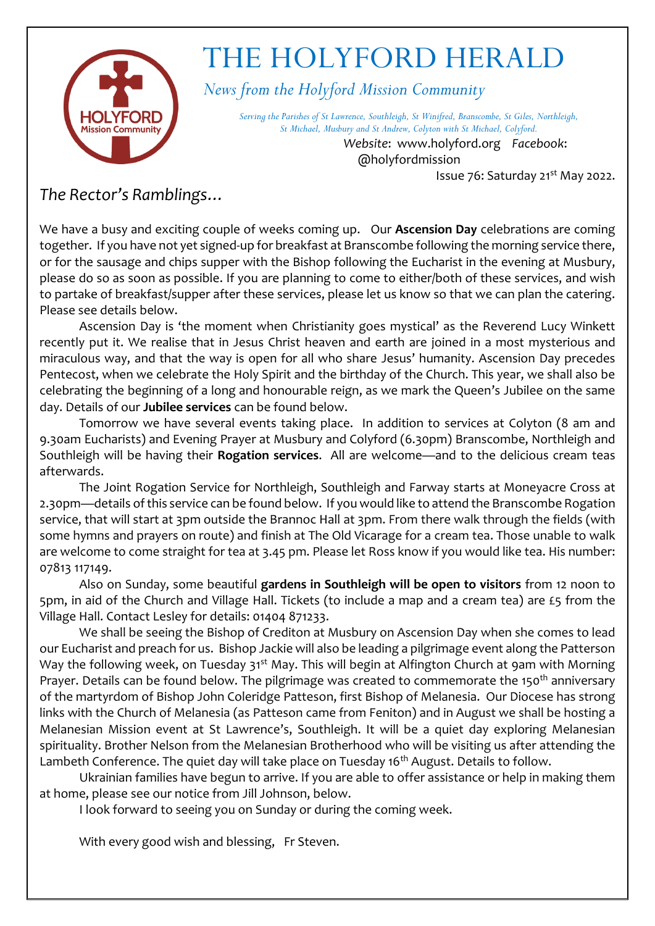

### THE HOLYFORD HERALD

*News from the Holyford Mission Community*

*Serving the Parishes of St Lawrence, Southleigh, St Winifred, Branscombe, St Giles, Northleigh, St Michael, Musbury and St Andrew, Colyton with St Michael, Colyford.*

> *Website*: www.holyford.org *Facebook*: @holyfordmission

Issue 76: Saturday 21<sup>st</sup> May 2022.

#### *The Rector's Ramblings…*

We have a busy and exciting couple of weeks coming up. Our **Ascension Day** celebrations are coming together. If you have not yet signed-up for breakfast at Branscombe following the morning service there, or for the sausage and chips supper with the Bishop following the Eucharist in the evening at Musbury, please do so as soon as possible. If you are planning to come to either/both of these services, and wish to partake of breakfast/supper after these services, please let us know so that we can plan the catering. Please see details below.

Ascension Day is 'the moment when Christianity goes mystical' as the Reverend Lucy Winkett recently put it. We realise that in Jesus Christ heaven and earth are joined in a most mysterious and miraculous way, and that the way is open for all who share Jesus' humanity. Ascension Day precedes Pentecost, when we celebrate the Holy Spirit and the birthday of the Church. This year, we shall also be celebrating the beginning of a long and honourable reign, as we mark the Queen's Jubilee on the same day. Details of our **Jubilee services** can be found below.

Tomorrow we have several events taking place. In addition to services at Colyton (8 am and 9.30am Eucharists) and Evening Prayer at Musbury and Colyford (6.30pm) Branscombe, Northleigh and Southleigh will be having their **Rogation services**. All are welcome—and to the delicious cream teas afterwards.

The Joint Rogation Service for Northleigh, Southleigh and Farway starts at Moneyacre Cross at 2.30pm—details of this service can be found below. If you would like to attend the Branscombe Rogation service, that will start at 3pm outside the Brannoc Hall at 3pm. From there walk through the fields (with some hymns and prayers on route) and finish at The Old Vicarage for a cream tea. Those unable to walk are welcome to come straight for tea at 3.45 pm. Please let Ross know if you would like tea. His number: 07813 117149.

Also on Sunday, some beautiful **gardens in Southleigh will be open to visitors** from 12 noon to 5pm, in aid of the Church and Village Hall. Tickets (to include a map and a cream tea) are £5 from the Village Hall. Contact Lesley for details: 01404 871233.

We shall be seeing the Bishop of Crediton at Musbury on Ascension Day when she comes to lead our Eucharist and preach for us. Bishop Jackie will also be leading a pilgrimage event along the Patterson Way the following week, on Tuesday 31<sup>st</sup> May. This will begin at Alfington Church at 9am with Morning Prayer. Details can be found below. The pilgrimage was created to commemorate the 150<sup>th</sup> anniversary of the martyrdom of Bishop John Coleridge Patteson, first Bishop of Melanesia. Our Diocese has strong links with the Church of Melanesia (as Patteson came from Feniton) and in August we shall be hosting a Melanesian Mission event at St Lawrence's, Southleigh. It will be a quiet day exploring Melanesian spirituality. Brother Nelson from the Melanesian Brotherhood who will be visiting us after attending the Lambeth Conference. The quiet day will take place on Tuesday 16<sup>th</sup> August. Details to follow.

Ukrainian families have begun to arrive. If you are able to offer assistance or help in making them at home, please see our notice from Jill Johnson, below.

I look forward to seeing you on Sunday or during the coming week.

With every good wish and blessing, Fr Steven.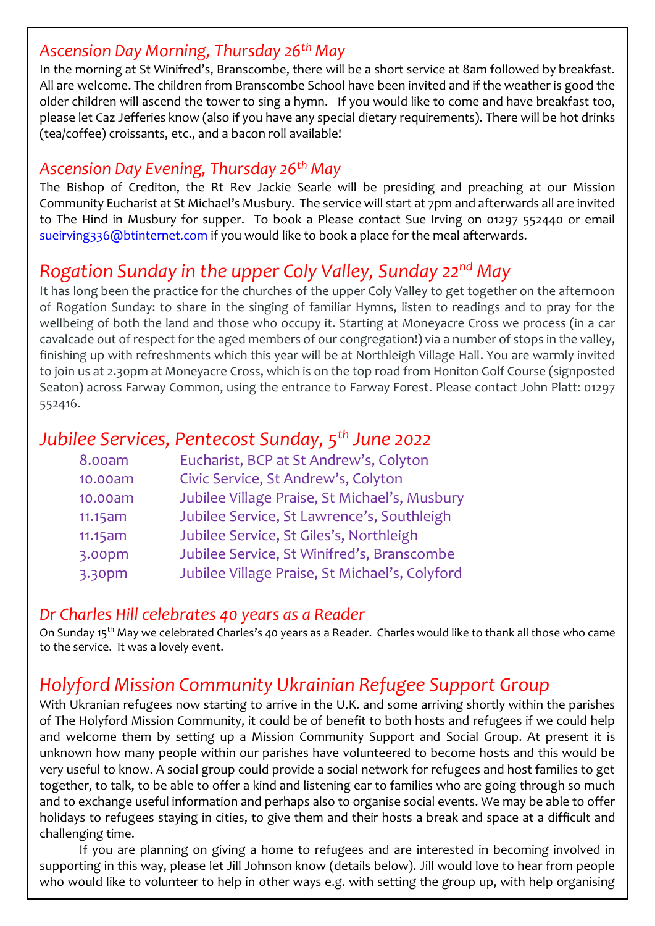#### *Ascension Day Morning, Thursday 26th May*

In the morning at St Winifred's, Branscombe, there will be a short service at 8am followed by breakfast. All are welcome. The children from Branscombe School have been invited and if the weather is good the older children will ascend the tower to sing a hymn. If you would like to come and have breakfast too, please let Caz Jefferies know (also if you have any special dietary requirements). There will be hot drinks (tea/coffee) croissants, etc., and a bacon roll available!

#### *Ascension Day Evening, Thursday 26th May*

The Bishop of Crediton, the Rt Rev Jackie Searle will be presiding and preaching at our Mission Community Eucharist at St Michael's Musbury. The service will start at 7pm and afterwards all are invited to The Hind in Musbury for supper. To book a Please contact Sue Irving on 01297 552440 or email [sueirving336@btinternet.com](mailto:sueirving336@btinternet.com) if you would like to book a place for the meal afterwards.

#### *Rogation Sunday in the upper Coly Valley, Sunday 22nd May*

It has long been the practice for the churches of the upper Coly Valley to get together on the afternoon of Rogation Sunday: to share in the singing of familiar Hymns, listen to readings and to pray for the wellbeing of both the land and those who occupy it. Starting at Moneyacre Cross we process (in a car cavalcade out of respect for the aged members of our congregation!) via a number of stops in the valley, finishing up with refreshments which this year will be at Northleigh Village Hall. You are warmly invited to join us at 2.30pm at Moneyacre Cross, which is on the top road from Honiton Golf Course (signposted Seaton) across Farway Common, using the entrance to Farway Forest. Please contact John Platt: 01297 552416.

#### *Jubilee Services, Pentecost Sunday, 5th June 2022*

| 8.00am  | Eucharist, BCP at St Andrew's, Colyton         |
|---------|------------------------------------------------|
| 10.00am | Civic Service, St Andrew's, Colyton            |
| 10.00am | Jubilee Village Praise, St Michael's, Musbury  |
| 11.15am | Jubilee Service, St Lawrence's, Southleigh     |
| 11.15am | Jubilee Service, St Giles's, Northleigh        |
| 3.00pm  | Jubilee Service, St Winifred's, Branscombe     |
| 3.30pm  | Jubilee Village Praise, St Michael's, Colyford |

#### *Dr Charles Hill celebrates 40 years as a Reader*

On Sunday 15th May we celebrated Charles's 40 years as a Reader. Charles would like to thank all those who came to the service. It was a lovely event.

#### *Holyford Mission Community Ukrainian Refugee Support Group*

With Ukranian refugees now starting to arrive in the U.K. and some arriving shortly within the parishes of The Holyford Mission Community, it could be of benefit to both hosts and refugees if we could help and welcome them by setting up a Mission Community Support and Social Group. At present it is unknown how many people within our parishes have volunteered to become hosts and this would be very useful to know. A social group could provide a social network for refugees and host families to get together, to talk, to be able to offer a kind and listening ear to families who are going through so much and to exchange useful information and perhaps also to organise social events. We may be able to offer holidays to refugees staying in cities, to give them and their hosts a break and space at a difficult and challenging time.

If you are planning on giving a home to refugees and are interested in becoming involved in supporting in this way, please let Jill Johnson know (details below). Jill would love to hear from people who would like to volunteer to help in other ways e.g. with setting the group up, with help organising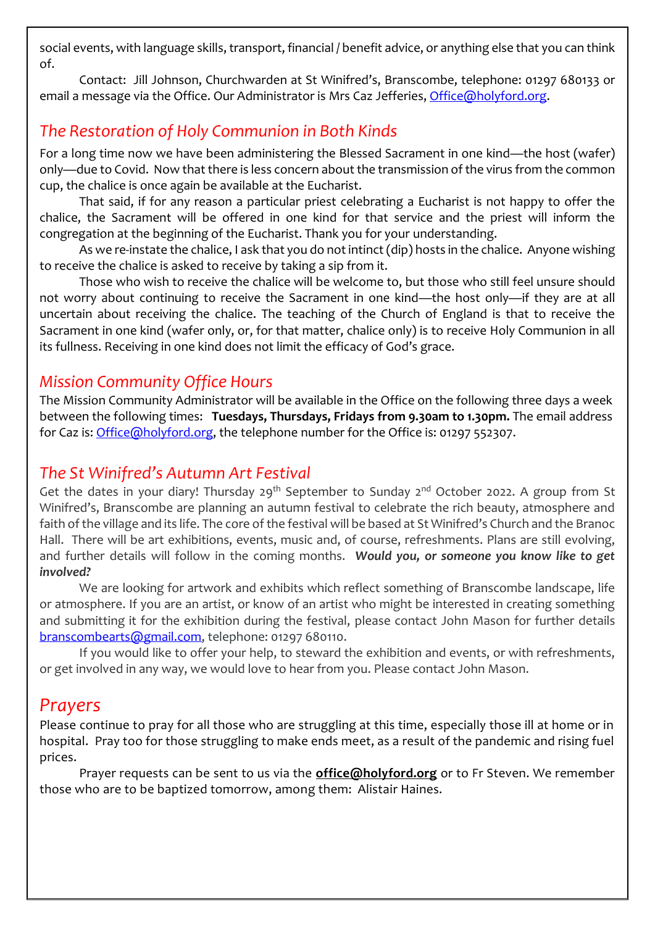social events, with language skills, transport, financial / benefit advice, or anything else that you can think of.

Contact: Jill Johnson, Churchwarden at St Winifred's, Branscombe, telephone: 01297 680133 or email a message via the Office. Our Administrator is Mrs Caz Jefferies[, Office@holyford.org.](mailto:Office@holyford.org)

#### *The Restoration of Holy Communion in Both Kinds*

For a long time now we have been administering the Blessed Sacrament in one kind—the host (wafer) only—due to Covid. Now that there is less concern about the transmission of the virus from the common cup, the chalice is once again be available at the Eucharist.

That said, if for any reason a particular priest celebrating a Eucharist is not happy to offer the chalice, the Sacrament will be offered in one kind for that service and the priest will inform the congregation at the beginning of the Eucharist. Thank you for your understanding.

As we re-instate the chalice, I ask that you do not intinct (dip) hosts in the chalice. Anyone wishing to receive the chalice is asked to receive by taking a sip from it.

Those who wish to receive the chalice will be welcome to, but those who still feel unsure should not worry about continuing to receive the Sacrament in one kind—the host only—if they are at all uncertain about receiving the chalice. The teaching of the Church of England is that to receive the Sacrament in one kind (wafer only, or, for that matter, chalice only) is to receive Holy Communion in all its fullness. Receiving in one kind does not limit the efficacy of God's grace.

#### *Mission Community Office Hours*

The Mission Community Administrator will be available in the Office on the following three days a week between the following times: **Tuesdays, Thursdays, Fridays from 9.30am to 1.30pm.** The email address for Caz is: [Office@holyford.org,](mailto:Office@holyford.org) the telephone number for the Office is: 01297 552307.

#### *The St Winifred's Autumn Art Festival*

Get the dates in your diary! Thursday 29<sup>th</sup> September to Sunday 2<sup>nd</sup> October 2022. A group from St Winifred's, Branscombe are planning an autumn festival to celebrate the rich beauty, atmosphere and faith of the village and its life. The core of the festival will be based at St Winifred's Church and the Branoc Hall. There will be art exhibitions, events, music and, of course, refreshments. Plans are still evolving, and further details will follow in the coming months. *Would you, or someone you know like to get involved?*

We are looking for artwork and exhibits which reflect something of Branscombe landscape, life or atmosphere. If you are an artist, or know of an artist who might be interested in creating something and submitting it for the exhibition during the festival, please contact John Mason for further details [branscombearts@gmail.com,](mailto:branscombearts@gmail.com) telephone: 01297 680110.

If you would like to offer your help, to steward the exhibition and events, or with refreshments, or get involved in any way, we would love to hear from you. Please contact John Mason.

#### *Prayers*

Please continue to pray for all those who are struggling at this time, especially those ill at home or in hospital. Pray too for those struggling to make ends meet, as a result of the pandemic and rising fuel prices.

Prayer requests can be sent to us via the **[office@holyford.org](mailto:office@holyford.org)** or to Fr Steven. We remember those who are to be baptized tomorrow, among them: Alistair Haines.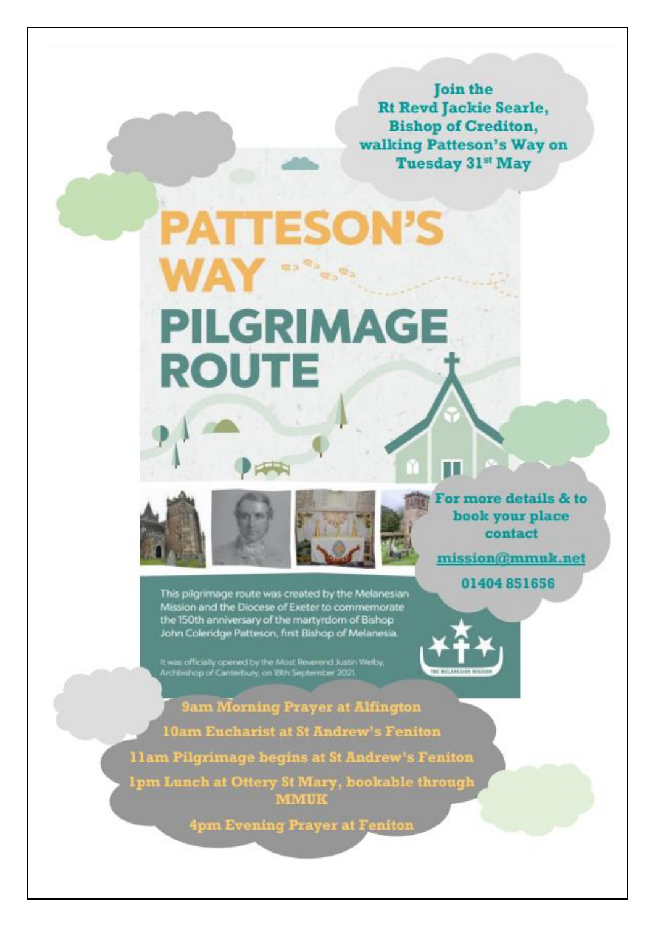**Join the Rt Revd Jackie Searle, Bishop of Crediton,** walking Patteson's Way on **Tuesday 31st May** 

## **PATTESON'S RO<sup>RO</sup>RO**RO **PILGRIMAGE ROUTE**





This pilgrimage route was created by the Melanesian Mission and the Diocese of Exeter to commemorate the 150th anniversary of the martyrdom of Bishop John Coleridge Patteson, first Bishop of Melanesia.

**Company** 

It was officially opened by the Most Reverend Justin Welby,<br>Archbishop of Canterbury, on 18th September 2021.

9am Morning Prayer at Alfington **10am Eucharist at St Andrew's Feniton** 11am Pilgximage begins at St Andrew's Feniton 1pm Lunch at Ottery St Mary, bookable through<br>MMUK

4pm Evening Prayer at Feniton

or more details & to book your place contact

mission@mmuk.net

01404 851656